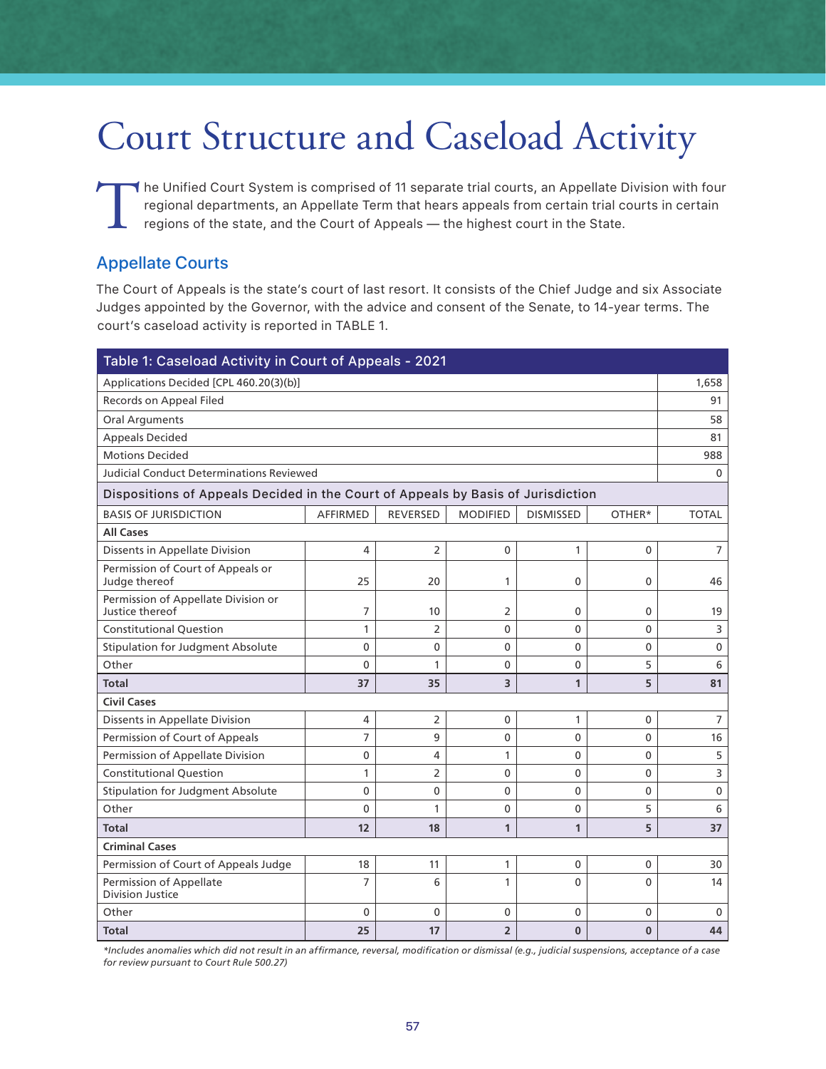## Court Structure and Caseload Activity

The Unified Court System is comprised of 11 separate trial courts, an Appellate Division with four regional departments, an Appellate Term that hears appeals from certain trial courts in certain regions of the state, and t regional departments, an Appellate Term that hears appeals from certain trial courts in certain regions of the state, and the Court of Appeals — the highest court in the State.

## Appellate Courts

The Court of Appeals is the state's court of last resort. It consists of the Chief Judge and six Associate Judges appointed by the Governor, with the advice and consent of the Senate, to 14-year terms. The court's caseload activity is reported in TABLE 1.

| Table 1: Caseload Activity in Court of Appeals - 2021                            |                         |                                       |                 |                  |                |                |  |  |  |
|----------------------------------------------------------------------------------|-------------------------|---------------------------------------|-----------------|------------------|----------------|----------------|--|--|--|
| Applications Decided [CPL 460.20(3)(b)]                                          |                         |                                       |                 |                  |                |                |  |  |  |
| Records on Appeal Filed                                                          |                         |                                       |                 |                  |                |                |  |  |  |
| <b>Oral Arguments</b>                                                            |                         |                                       |                 |                  |                |                |  |  |  |
| <b>Appeals Decided</b>                                                           |                         |                                       |                 |                  |                | 81             |  |  |  |
| <b>Motions Decided</b>                                                           |                         |                                       |                 |                  |                |                |  |  |  |
| <b>Judicial Conduct Determinations Reviewed</b>                                  |                         |                                       |                 |                  |                |                |  |  |  |
| Dispositions of Appeals Decided in the Court of Appeals by Basis of Jurisdiction |                         |                                       |                 |                  |                |                |  |  |  |
| <b>BASIS OF JURISDICTION</b>                                                     | <b>AFFIRMED</b>         | <b>REVERSED</b>                       | <b>MODIFIED</b> | <b>DISMISSED</b> | OTHFR*         | <b>TOTAL</b>   |  |  |  |
| <b>All Cases</b>                                                                 |                         |                                       |                 |                  |                |                |  |  |  |
| Dissents in Appellate Division                                                   | 4                       | $\overline{2}$                        | $\mathbf{0}$    | 1                | 0              | $\overline{7}$ |  |  |  |
| Permission of Court of Appeals or<br>Judge thereof                               | 25                      | 20                                    | 1               | 0                | 0              | 46             |  |  |  |
| Permission of Appellate Division or<br>Justice thereof                           | 7                       | 10                                    | 2               | 0                | 0              | 19             |  |  |  |
| <b>Constitutional Question</b>                                                   | 1                       | $\overline{2}$                        | 0               | 0                | 0              | 3              |  |  |  |
| <b>Stipulation for Judgment Absolute</b>                                         | 0                       | $\mathbf 0$                           | 0               | 0                | 0              | $\mathbf 0$    |  |  |  |
| Other                                                                            | $\Omega$                | 5<br>1<br>$\mathbf{0}$<br>$\mathbf 0$ |                 |                  |                |                |  |  |  |
| Total                                                                            | 37<br>35<br>3<br>5<br>1 |                                       |                 |                  |                |                |  |  |  |
| <b>Civil Cases</b>                                                               |                         |                                       |                 |                  |                |                |  |  |  |
| Dissents in Appellate Division                                                   | 4                       | $\overline{2}$                        | $\mathbf 0$     | 1                | 0              | $\overline{7}$ |  |  |  |
| Permission of Court of Appeals                                                   | $\overline{7}$          | 9                                     | $\mathbf{0}$    | $\mathbf 0$      | 0              | 16             |  |  |  |
| Permission of Appellate Division                                                 | $\mathbf{0}$            | 4                                     | 1               | 0                | 0              | 5              |  |  |  |
| <b>Constitutional Question</b>                                                   | 1                       | $\overline{2}$                        | $\mathbf{0}$    | $\mathbf{0}$     | 0              | 3              |  |  |  |
| <b>Stipulation for Judgment Absolute</b>                                         | $\mathbf 0$             | $\mathbf{0}$                          | $\mathbf{0}$    | $\mathbf 0$      | 0              | $\mathbf 0$    |  |  |  |
| Other                                                                            | $\mathbf{0}$            | 1                                     | $\mathbf 0$     | $\mathbf{0}$     | 5              | 6              |  |  |  |
| <b>Total</b>                                                                     | 12                      | 18                                    | $\mathbf{1}$    | $\mathbf{1}$     | 5              | 37             |  |  |  |
| <b>Criminal Cases</b>                                                            |                         |                                       |                 |                  |                |                |  |  |  |
| Permission of Court of Appeals Judge                                             | 18                      | 11                                    | 1               | 0                | 0              | 30             |  |  |  |
| Permission of Appellate<br><b>Division Justice</b>                               | $\overline{7}$          | 6                                     | $\mathbf{1}$    | $\mathbf 0$      | $\overline{0}$ | 14             |  |  |  |
| $\overline{0}$<br>Other<br>$\mathbf 0$<br>0<br>0<br>0                            |                         |                                       |                 |                  |                |                |  |  |  |
| <b>Total</b>                                                                     | 25                      | 17                                    | $\overline{2}$  | $\mathbf{0}$     | $\bf{0}$       | 44             |  |  |  |

*\*Includes anomalies which did not result in an affirmance, reversal, modification or dismissal (e.g., judicial suspensions, acceptance of a case for review pursuant to Court Rule 500.27)*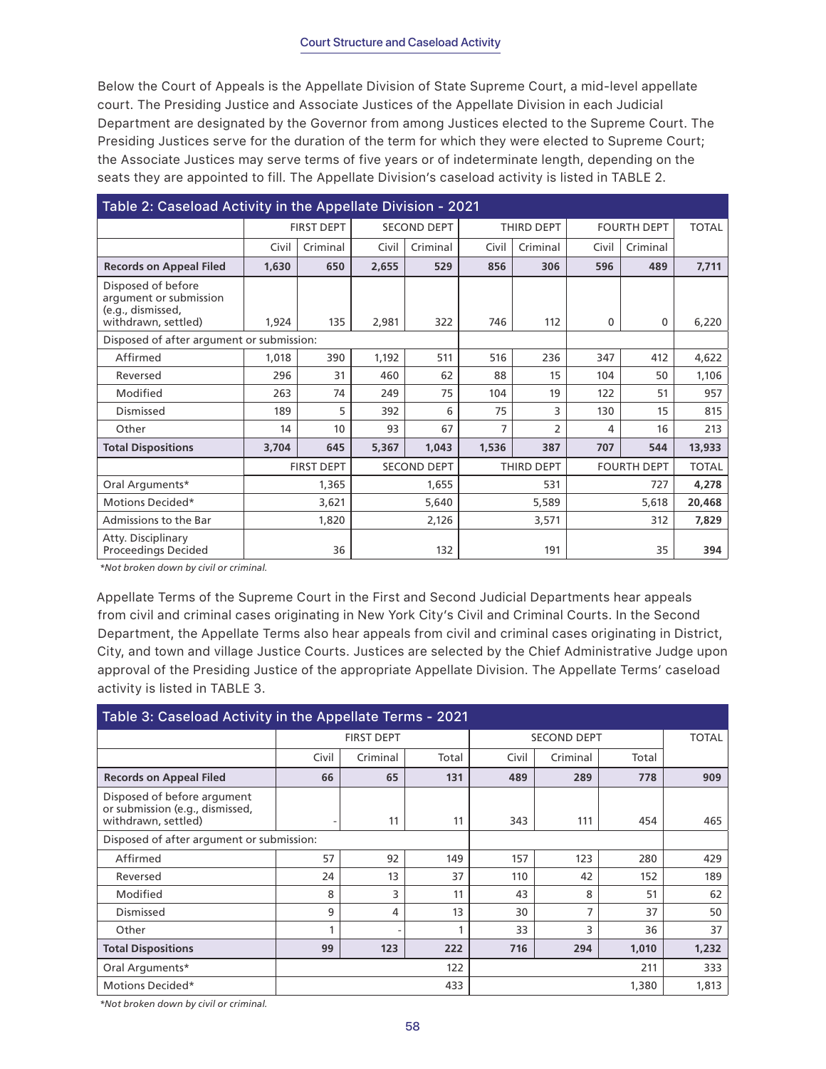## Court Structure and Caseload Activity

Below the Court of Appeals is the Appellate Division of State Supreme Court, a mid-level appellate court. The Presiding Justice and Associate Justices of the Appellate Division in each Judicial Department are designated by the Governor from among Justices elected to the Supreme Court. The Presiding Justices serve for the duration of the term for which they were elected to Supreme Court; the Associate Justices may serve terms of five years or of indeterminate length, depending on the seats they are appointed to fill. The Appellate Division's caseload activity is listed in TABLE 2.

| Table 2: Caseload Activity in the Appellate Division - 2021                              |                   |          |                    |          |            |          |                    |          |              |
|------------------------------------------------------------------------------------------|-------------------|----------|--------------------|----------|------------|----------|--------------------|----------|--------------|
|                                                                                          | <b>FIRST DEPT</b> |          | <b>SECOND DEPT</b> |          | THIRD DEPT |          | <b>FOURTH DEPT</b> |          | <b>TOTAL</b> |
|                                                                                          | Civil             | Criminal | Civil              | Criminal | Civil      | Criminal | Civil              | Criminal |              |
| <b>Records on Appeal Filed</b>                                                           | 1,630             | 650      | 2,655              | 529      | 856        | 306      | 596                | 489      | 7,711        |
| Disposed of before<br>argument or submission<br>(e.g., dismissed,<br>withdrawn, settled) | 1,924             | 135      | 2,981              | 322      | 746        | 112      | $\mathbf{0}$       | 0        | 6,220        |
| Disposed of after argument or submission:                                                |                   |          |                    |          |            |          |                    |          |              |
| Affirmed                                                                                 | 1,018             | 390      | 1,192              | 511      | 516        | 236      | 347                | 412      | 4,622        |
| Reversed                                                                                 | 296               | 31       | 460                | 62       | 88         | 15       | 104                | 50       | 1,106        |
| Modified                                                                                 | 263               | 74       | 249                | 75       | 104        | 19       | 122                | 51       | 957          |
| Dismissed                                                                                | 189               | 5        | 392                | 6        | 75         | 3        | 130                | 15       | 815          |
| Other                                                                                    | 14                | 10       | 93                 | 67       | 7          | 2        | 4                  | 16       | 213          |
| <b>Total Dispositions</b>                                                                | 3,704             | 645      | 5,367              | 1,043    | 1,536      | 387      | 707                | 544      | 13,933       |
|                                                                                          | <b>FIRST DEPT</b> |          | <b>SECOND DEPT</b> |          | THIRD DEPT |          | <b>FOURTH DEPT</b> |          | <b>TOTAL</b> |
| Oral Arguments*                                                                          | 1,365             |          | 1,655              |          | 531        |          | 727                |          | 4,278        |
| Motions Decided*                                                                         | 3,621             |          | 5,640              |          | 5,589      |          | 5,618              |          | 20,468       |
| Admissions to the Bar                                                                    |                   | 1,820    | 2,126              |          | 3,571      |          | 312                |          | 7,829        |
| Atty. Disciplinary<br>Proceedings Decided                                                |                   | 36       | 132                |          | 191        |          | 35                 |          | 394          |

*\*Not broken down by civil or criminal.*

Appellate Terms of the Supreme Court in the First and Second Judicial Departments hear appeals from civil and criminal cases originating in New York City's Civil and Criminal Courts. In the Second Department, the Appellate Terms also hear appeals from civil and criminal cases originating in District, City, and town and village Justice Courts. Justices are selected by the Chief Administrative Judge upon approval of the Presiding Justice of the appropriate Appellate Division. The Appellate Terms' caseload activity is listed in TABLE 3.

| Table 3: Caseload Activity in the Appellate Terms - 2021                              |                          |                   |       |                    |              |       |       |  |  |
|---------------------------------------------------------------------------------------|--------------------------|-------------------|-------|--------------------|--------------|-------|-------|--|--|
|                                                                                       |                          | <b>FIRST DEPT</b> |       | <b>SECOND DEPT</b> | <b>TOTAL</b> |       |       |  |  |
|                                                                                       | Civil                    | Criminal          | Total | Civil              | Criminal     | Total |       |  |  |
| <b>Records on Appeal Filed</b>                                                        | 66                       | 65                | 131   | 489                | 289          | 778   | 909   |  |  |
| Disposed of before argument<br>or submission (e.g., dismissed,<br>withdrawn, settled) | $\overline{\phantom{a}}$ | 11                | 11    | 343                | 111          | 454   | 465   |  |  |
| Disposed of after argument or submission:                                             |                          |                   |       |                    |              |       |       |  |  |
| Affirmed                                                                              | 57                       | 92                | 149   | 157                | 123          | 280   | 429   |  |  |
| Reversed                                                                              | 24                       | 13                | 37    | 110                | 42           | 152   | 189   |  |  |
| Modified                                                                              | 8                        | 3                 | 11    | 43                 | 8            | 51    | 62    |  |  |
| Dismissed                                                                             | 9                        | 4                 | 13    | 30                 | 7            | 37    | 50    |  |  |
| Other                                                                                 |                          |                   |       | 33                 | 3            | 36    | 37    |  |  |
| <b>Total Dispositions</b>                                                             | 99                       | 123               | 222   | 716                | 294          | 1,010 | 1,232 |  |  |
| Oral Arguments*                                                                       |                          |                   | 122   |                    | 333          |       |       |  |  |
| Motions Decided*                                                                      | 433<br>1,380             |                   |       |                    | 1,813        |       |       |  |  |

*\*Not broken down by civil or criminal.*